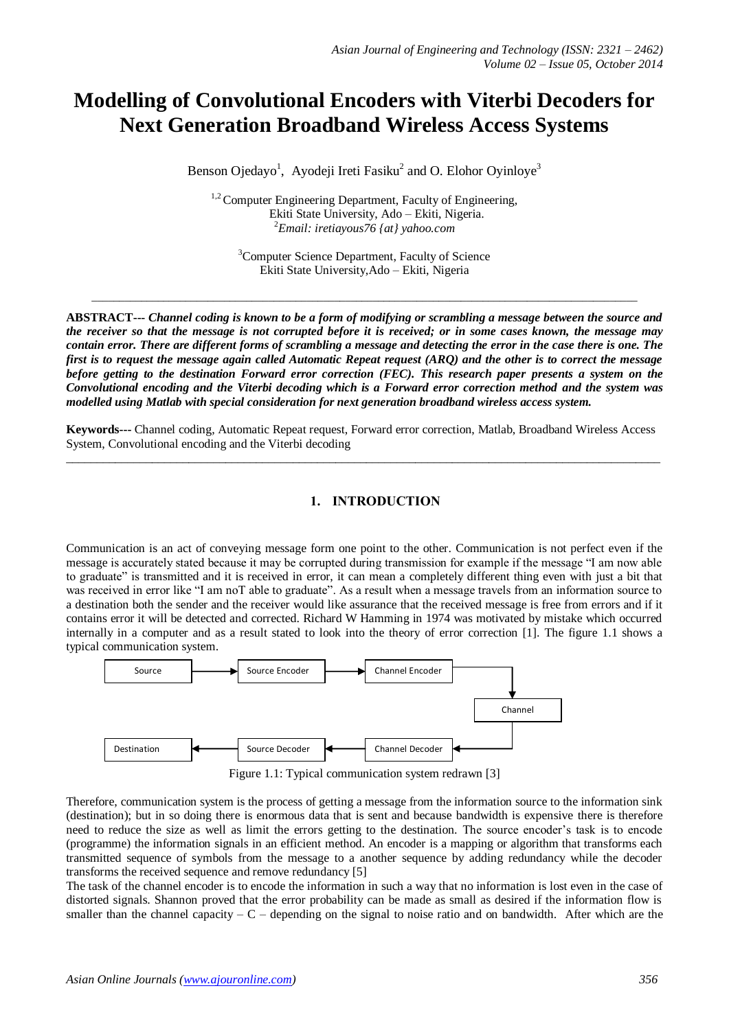# **Modelling of Convolutional Encoders with Viterbi Decoders for Next Generation Broadband Wireless Access Systems**

Benson Ojedayo<sup>1</sup>, Ayodeji Ireti Fasiku<sup>2</sup> and O. Elohor Oyinloye<sup>3</sup>

<sup>1,2</sup> Computer Engineering Department, Faculty of Engineering, Ekiti State University, Ado – Ekiti, Nigeria. <sup>2</sup>*Email: iretiayous76 {at} yahoo.com*

<sup>3</sup>Computer Science Department, Faculty of Science Ekiti State University,Ado – Ekiti, Nigeria

*\_\_\_\_\_\_\_\_\_\_\_\_\_\_\_\_\_\_\_\_\_\_\_\_\_\_\_\_\_\_\_\_\_\_\_\_\_\_\_\_\_\_\_\_\_\_\_\_\_\_\_\_\_\_\_\_\_\_\_\_\_\_\_\_\_\_\_\_\_\_\_\_\_\_\_\_\_\_\_\_\_\_\_\_\_\_\_\_\_\_\_\_\_\_\_\_\_\_\_*

**ABSTRACT---** *Channel coding is known to be a form of modifying or scrambling a message between the source and the receiver so that the message is not corrupted before it is received; or in some cases known, the message may contain error. There are different forms of scrambling a message and detecting the error in the case there is one. The first is to request the message again called Automatic Repeat request (ARQ) and the other is to correct the message before getting to the destination Forward error correction (FEC). This research paper presents a system on the Convolutional encoding and the Viterbi decoding which is a Forward error correction method and the system was modelled using Matlab with special consideration for next generation broadband wireless access system.*

**Keywords---** Channel coding, Automatic Repeat request, Forward error correction, Matlab, Broadband Wireless Access System, Convolutional encoding and the Viterbi decoding  $\_$  ,  $\_$  ,  $\_$  ,  $\_$  ,  $\_$  ,  $\_$  ,  $\_$  ,  $\_$  ,  $\_$  ,  $\_$  ,  $\_$  ,  $\_$  ,  $\_$  ,  $\_$  ,  $\_$  ,  $\_$  ,  $\_$  ,  $\_$  ,  $\_$  ,  $\_$  ,  $\_$  ,  $\_$  ,  $\_$  ,  $\_$  ,  $\_$  ,  $\_$  ,  $\_$  ,  $\_$  ,  $\_$  ,  $\_$  ,  $\_$  ,  $\_$  ,  $\_$  ,  $\_$  ,  $\_$  ,  $\_$  ,  $\_$  ,

# **1. INTRODUCTION**

Communication is an act of conveying message form one point to the other. Communication is not perfect even if the message is accurately stated because it may be corrupted during transmission for example if the message "I am now able to graduate" is transmitted and it is received in error, it can mean a completely different thing even with just a bit that was received in error like "I am noT able to graduate". As a result when a message travels from an information source to a destination both the sender and the receiver would like assurance that the received message is free from errors and if it contains error it will be detected and corrected. Richard W Hamming in 1974 was motivated by mistake which occurred internally in a computer and as a result stated to look into the theory of error correction [1]. The figure 1.1 shows a typical communication system.



Figure 1.1: Typical communication system redrawn [3]

Therefore, communication system is the process of getting a message from the information source to the information sink (destination); but in so doing there is enormous data that is sent and because bandwidth is expensive there is therefore need to reduce the size as well as limit the errors getting to the destination. The source encoder's task is to encode (programme) the information signals in an efficient method. An encoder is a mapping or algorithm that transforms each transmitted sequence of symbols from the message to a another sequence by adding redundancy while the decoder transforms the received sequence and remove redundancy [5]

The task of the channel encoder is to encode the information in such a way that no information is lost even in the case of distorted signals. Shannon proved that the error probability can be made as small as desired if the information flow is smaller than the channel capacity  $- C -$  depending on the signal to noise ratio and on bandwidth. After which are the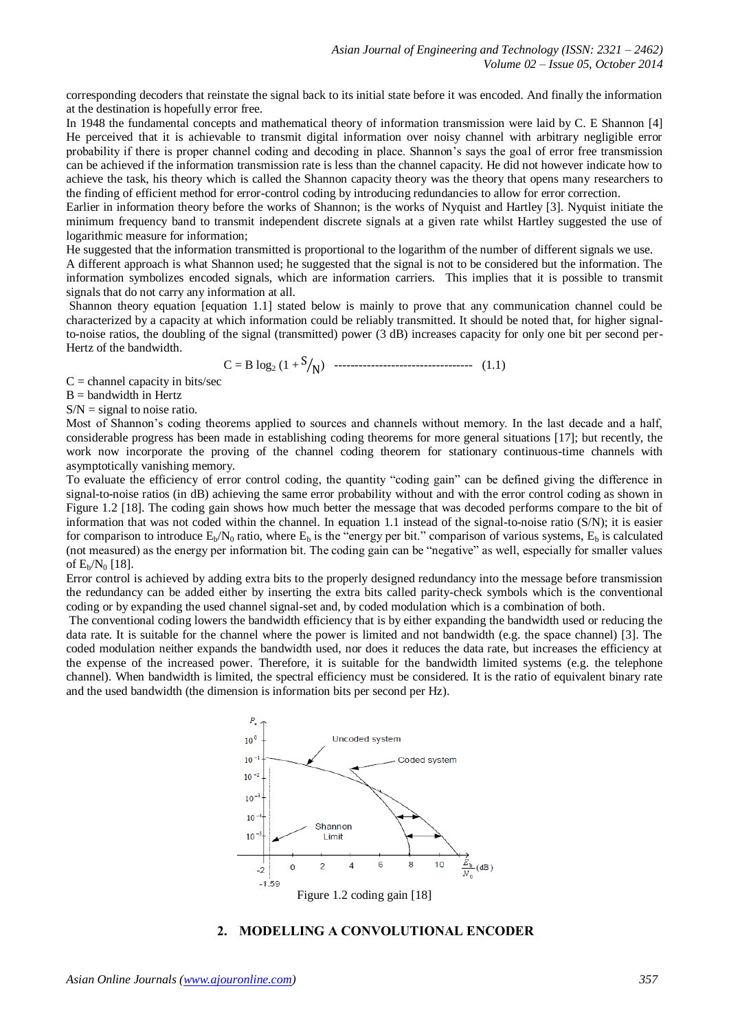corresponding decoders that reinstate the signal back to its initial state before it was encoded. And finally the information at the destination is hopefully error free.

In 1948 the fundamental concepts and mathematical theory of information transmission were laid by C. E Shannon [4] He perceived that it is achievable to transmit digital information over noisy channel with arbitrary negligible error probability if there is proper channel coding and decoding in place. Shannon's says the goal of error free transmission can be achieved if the information transmission rate is less than the channel capacity. He did not however indicate how to achieve the task, his theory which is called the Shannon capacity theory was the theory that opens many researchers to the finding of efficient method for error-control coding by introducing redundancies to allow for error correction.

Earlier in information theory before the works of Shannon; is the works of Nyquist and Hartley [3]. Nyquist initiate the minimum frequency band to transmit independent discrete signals at a given rate whilst Hartley suggested the use of logarithmic measure for information;

He suggested that the information transmitted is proportional to the logarithm of the number of different signals we use.

A different approach is what Shannon used; he suggested that the signal is not to be considered but the information. The information symbolizes encoded signals, which are information carriers. This implies that it is possible to transmit signals that do not carry any information at all.

Shannon theory equation [equation 1.1] stated below is mainly to prove that any communication channel could be characterized by a capacity at which information could be reliably transmitted. It should be noted that, for higher signalto-noise ratios, the doubling of the signal (transmitted) power (3 dB) increases capacity for only one bit per second per-Hertz of the bandwidth.

C = B log<sup>2</sup> (1 + ) ---------------------------------- (1.1)

 $C =$ channel capacity in bits/sec

 $B =$  bandwidth in Hertz

 $S/N =$  signal to noise ratio.

Most of Shannon's coding theorems applied to sources and channels without memory. In the last decade and a half, considerable progress has been made in establishing coding theorems for more general situations [17]; but recently, the work now incorporate the proving of the channel coding theorem for stationary continuous-time channels with asymptotically vanishing memory.

To evaluate the efficiency of error control coding, the quantity "coding gain" can be defined giving the difference in signal-to-noise ratios (in dB) achieving the same error probability without and with the error control coding as shown in Figure 1.2 [18]. The coding gain shows how much better the message that was decoded performs compare to the bit of information that was not coded within the channel. In equation 1.1 instead of the signal-to-noise ratio (S/N); it is easier for comparison to introduce  $E_b/N_0$  ratio, where  $E_b$  is the "energy per bit." comparison of various systems,  $E_b$  is calculated (not measured) as the energy per information bit. The coding gain can be "negative" as well, especially for smaller values of  $E_b/N_0$  [18].

Error control is achieved by adding extra bits to the properly designed redundancy into the message before transmission the redundancy can be added either by inserting the extra bits called parity-check symbols which is the conventional coding or by expanding the used channel signal-set and, by coded modulation which is a combination of both.

The conventional coding lowers the bandwidth efficiency that is by either expanding the bandwidth used or reducing the data rate. It is suitable for the channel where the power is limited and not bandwidth (e.g. the space channel) [3]. The coded modulation neither expands the bandwidth used, nor does it reduces the data rate, but increases the efficiency at the expense of the increased power. Therefore, it is suitable for the bandwidth limited systems (e.g. the telephone channel). When bandwidth is limited, the spectral efficiency must be considered. It is the ratio of equivalent binary rate and the used bandwidth (the dimension is information bits per second per Hz).



## **2. MODELLING A CONVOLUTIONAL ENCODER**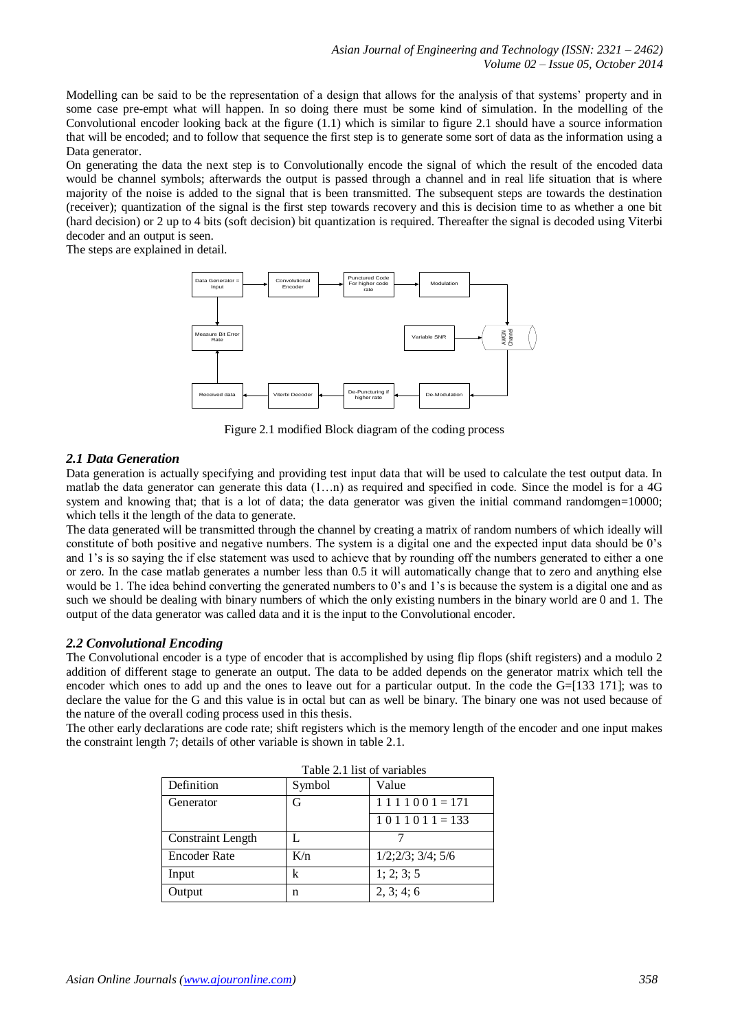Modelling can be said to be the representation of a design that allows for the analysis of that systems' property and in some case pre-empt what will happen. In so doing there must be some kind of simulation. In the modelling of the Convolutional encoder looking back at the figure  $(1.1)$  which is similar to figure 2.1 should have a source information that will be encoded; and to follow that sequence the first step is to generate some sort of data as the information using a Data generator.

On generating the data the next step is to Convolutionally encode the signal of which the result of the encoded data would be channel symbols; afterwards the output is passed through a channel and in real life situation that is where majority of the noise is added to the signal that is been transmitted. The subsequent steps are towards the destination (receiver); quantization of the signal is the first step towards recovery and this is decision time to as whether a one bit (hard decision) or 2 up to 4 bits (soft decision) bit quantization is required. Thereafter the signal is decoded using Viterbi decoder and an output is seen.

The steps are explained in detail.



Figure 2.1 modified Block diagram of the coding process

## *2.1 Data Generation*

Data generation is actually specifying and providing test input data that will be used to calculate the test output data. In matlab the data generator can generate this data (1…n) as required and specified in code. Since the model is for a 4G system and knowing that; that is a lot of data; the data generator was given the initial command randomgen=10000; which tells it the length of the data to generate.

The data generated will be transmitted through the channel by creating a matrix of random numbers of which ideally will constitute of both positive and negative numbers. The system is a digital one and the expected input data should be 0's and 1's is so saying the if else statement was used to achieve that by rounding off the numbers generated to either a one or zero. In the case matlab generates a number less than 0.5 it will automatically change that to zero and anything else would be 1. The idea behind converting the generated numbers to 0's and 1's is because the system is a digital one and as such we should be dealing with binary numbers of which the only existing numbers in the binary world are 0 and 1. The output of the data generator was called data and it is the input to the Convolutional encoder.

#### *2.2 Convolutional Encoding*

The Convolutional encoder is a type of encoder that is accomplished by using flip flops (shift registers) and a modulo 2 addition of different stage to generate an output. The data to be added depends on the generator matrix which tell the encoder which ones to add up and the ones to leave out for a particular output. In the code the G=[133 171]; was to declare the value for the G and this value is in octal but can as well be binary. The binary one was not used because of the nature of the overall coding process used in this thesis.

The other early declarations are code rate; shift registers which is the memory length of the encoder and one input makes the constraint length 7; details of other variable is shown in table 2.1.

| Table 2.1 fist of variables |        |                       |
|-----------------------------|--------|-----------------------|
| Definition                  | Symbol | Value                 |
| Generator                   | G      | $1 1 1 1 0 0 1 = 171$ |
|                             |        | $1011011 = 133$       |
| <b>Constraint Length</b>    |        |                       |
| <b>Encoder Rate</b>         | K/n    | 1/2;2/3;3/4;5/6       |
| Input                       | k      | 1; 2; 3; 5            |
| Output                      | n      | 2, 3; 4; 6            |

# $T$  and  $T_1$  and  $T_2$  is of variables  $T_1$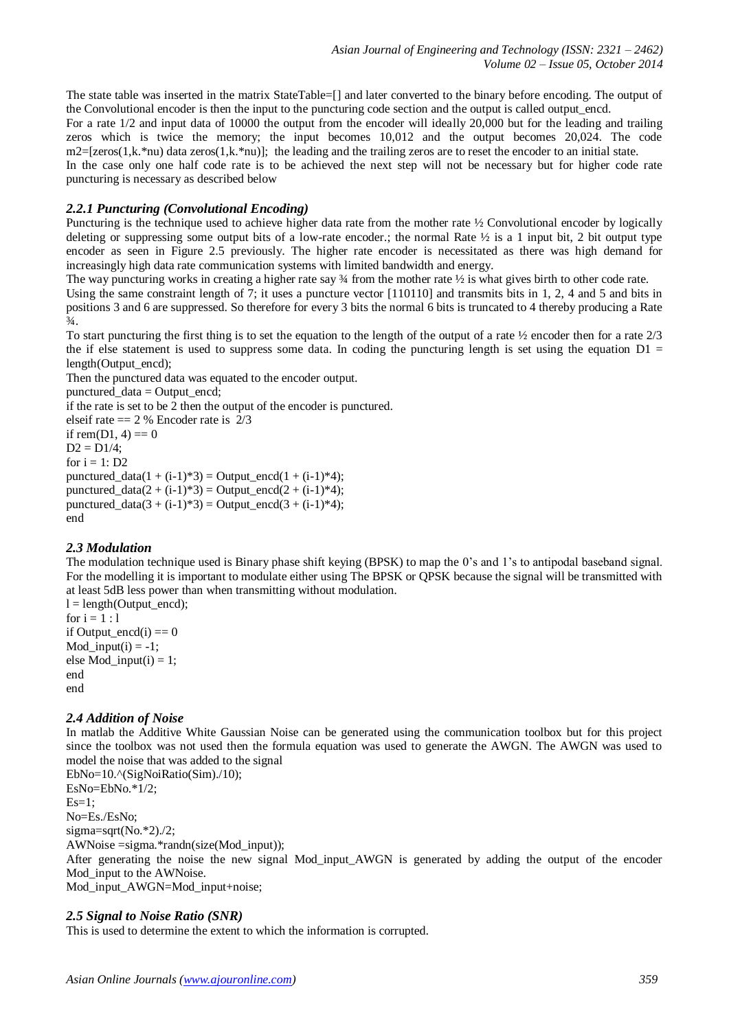The state table was inserted in the matrix StateTable=[] and later converted to the binary before encoding. The output of the Convolutional encoder is then the input to the puncturing code section and the output is called output\_encd.

For a rate 1/2 and input data of 10000 the output from the encoder will ideally 20,000 but for the leading and trailing zeros which is twice the memory; the input becomes 10,012 and the output becomes 20,024. The code  $m2=[zeros(1,k.*nu)$  data zeros(1,k.\*nu)]; the leading and the trailing zeros are to reset the encoder to an initial state.

In the case only one half code rate is to be achieved the next step will not be necessary but for higher code rate puncturing is necessary as described below

# *2.2.1 Puncturing (Convolutional Encoding)*

Puncturing is the technique used to achieve higher data rate from the mother rate  $\frac{1}{2}$  Convolutional encoder by logically deleting or suppressing some output bits of a low-rate encoder.; the normal Rate  $\frac{1}{2}$  is a 1 input bit, 2 bit output type encoder as seen in Figure 2.5 previously. The higher rate encoder is necessitated as there was high demand for increasingly high data rate communication systems with limited bandwidth and energy.

The way puncturing works in creating a higher rate say  $\frac{3}{4}$  from the mother rate  $\frac{1}{2}$  is what gives birth to other code rate.

Using the same constraint length of 7; it uses a puncture vector [110110] and transmits bits in 1, 2, 4 and 5 and bits in positions 3 and 6 are suppressed. So therefore for every 3 bits the normal 6 bits is truncated to 4 thereby producing a Rate  $\frac{3}{4}$ .

To start puncturing the first thing is to set the equation to the length of the output of a rate ½ encoder then for a rate 2/3 the if else statement is used to suppress some data. In coding the puncturing length is set using the equation  $D1 =$ length(Output\_encd);

Then the punctured data was equated to the encoder output.

punctured\_data = Output\_encd;

if the rate is set to be 2 then the output of the encoder is punctured.

elseif rate  $= 2\%$  Encoder rate is 2/3 if rem( $D1, 4$ ) = 0  $D2 = D1/4;$ for  $i = 1: D2$ punctured  $data(1 + (i-1)*3) = Output$  encd(1 + (i-1)\*4); punctured  $data(2 + (i-1)*3) = Output$  encd(2 + (i-1)\*4); punctured  $data(3 + (i-1)*3) = Output$  encd(3 + (i-1)\*4); end

# *2.3 Modulation*

The modulation technique used is Binary phase shift keying (BPSK) to map the 0's and 1's to antipodal baseband signal. For the modelling it is important to modulate either using The BPSK or QPSK because the signal will be transmitted with at least 5dB less power than when transmitting without modulation.

 $l = length(Output$  encd); for  $i = 1 : 1$ if Output\_encd(i)  $== 0$ Mod input(i) =  $-1$ ; else Mod\_input(i) = 1; end end

# *2.4 Addition of Noise*

In matlab the Additive White Gaussian Noise can be generated using the communication toolbox but for this project since the toolbox was not used then the formula equation was used to generate the AWGN. The AWGN was used to model the noise that was added to the signal

EbNo=10.^(SigNoiRatio(Sim)./10); EsNo=EbNo.\*1/2;  $Es=1$ ; No=Es./EsNo; sigma=sqrt(No.\*2)./2; AWNoise =sigma.\*randn(size(Mod\_input)); After generating the noise the new signal Mod\_input\_AWGN is generated by adding the output of the encoder Mod\_input to the AWNoise. Mod\_input\_AWGN=Mod\_input+noise;

#### *2.5 Signal to Noise Ratio (SNR)*

This is used to determine the extent to which the information is corrupted.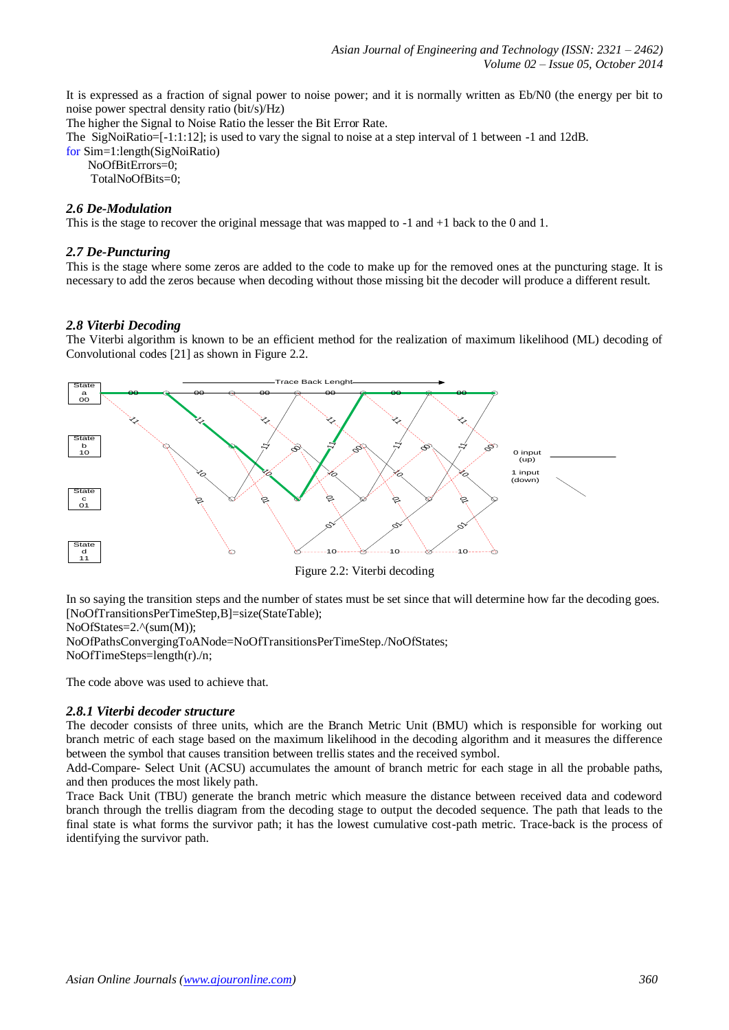It is expressed as a fraction of signal power to noise power; and it is normally written as Eb/N0 (the energy per bit to noise power spectral density ratio (bit/s)/Hz)

The higher the Signal to Noise Ratio the lesser the Bit Error Rate.

The SigNoiRatio=[-1:1:12]; is used to vary the signal to noise at a step interval of 1 between -1 and 12dB. for Sim=1:length(SigNoiRatio)

NoOfBitErrors=0;

TotalNoOfBits=0:

## *2.6 De-Modulation*

This is the stage to recover the original message that was mapped to -1 and +1 back to the 0 and 1.

## *2.7 De-Puncturing*

This is the stage where some zeros are added to the code to make up for the removed ones at the puncturing stage. It is necessary to add the zeros because when decoding without those missing bit the decoder will produce a different result.

## *2.8 Viterbi Decoding*

The Viterbi algorithm is known to be an efficient method for the realization of maximum likelihood (ML) decoding of Convolutional codes [21] as shown in Figure 2.2.





In so saying the transition steps and the number of states must be set since that will determine how far the decoding goes. [NoOfTransitionsPerTimeStep,B]=size(StateTable);

NoOfStates=2.^(sum(M));

NoOfPathsConvergingToANode=NoOfTransitionsPerTimeStep./NoOfStates; NoOfTimeSteps=length(r)./n;

The code above was used to achieve that.

#### *2.8.1 Viterbi decoder structure*

The decoder consists of three units, which are the Branch Metric Unit (BMU) which is responsible for working out branch metric of each stage based on the maximum likelihood in the decoding algorithm and it measures the difference between the symbol that causes transition between trellis states and the received symbol.

Add-Compare- Select Unit (ACSU) accumulates the amount of branch metric for each stage in all the probable paths, and then produces the most likely path.

Trace Back Unit (TBU) generate the branch metric which measure the distance between received data and codeword branch through the trellis diagram from the decoding stage to output the decoded sequence. The path that leads to the final state is what forms the survivor path; it has the lowest cumulative cost-path metric. Trace-back is the process of identifying the survivor path.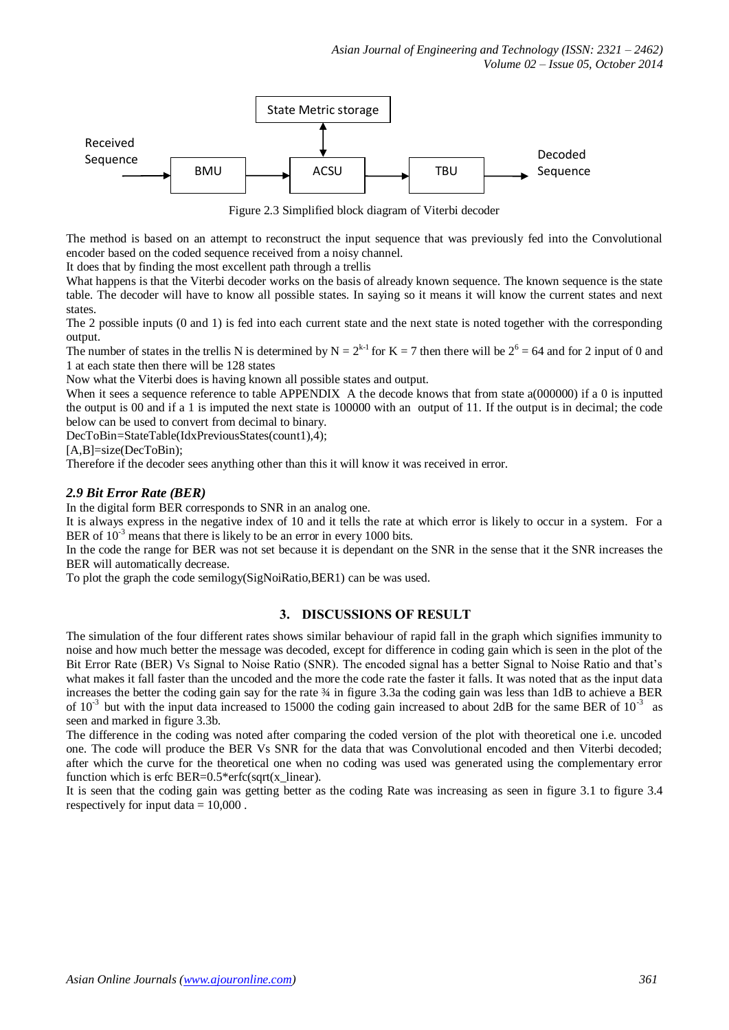

Figure 2.3 Simplified block diagram of Viterbi decoder

The method is based on an attempt to reconstruct the input sequence that was previously fed into the Convolutional encoder based on the coded sequence received from a noisy channel.

It does that by finding the most excellent path through a trellis

What happens is that the Viterbi decoder works on the basis of already known sequence. The known sequence is the state table. The decoder will have to know all possible states. In saying so it means it will know the current states and next states.

The 2 possible inputs (0 and 1) is fed into each current state and the next state is noted together with the corresponding output.

The number of states in the trellis N is determined by  $N = 2^{k-1}$  for  $K = 7$  then there will be  $2^6 = 64$  and for 2 input of 0 and 1 at each state then there will be 128 states

Now what the Viterbi does is having known all possible states and output.

When it sees a sequence reference to table APPENDIX A the decode knows that from state a(000000) if a 0 is inputted the output is 00 and if a 1 is imputed the next state is 100000 with an output of 11. If the output is in decimal; the code below can be used to convert from decimal to binary.

DecToBin=StateTable(IdxPreviousStates(count1),4);

[A,B]=size(DecToBin);

Therefore if the decoder sees anything other than this it will know it was received in error.

## *2.9 Bit Error Rate (BER)*

In the digital form BER corresponds to SNR in an analog one.

It is always express in the negative index of 10 and it tells the rate at which error is likely to occur in a system. For a BER of  $10^{-3}$  means that there is likely to be an error in every 1000 bits.

In the code the range for BER was not set because it is dependant on the SNR in the sense that it the SNR increases the BER will automatically decrease.

To plot the graph the code semilogy(SigNoiRatio,BER1) can be was used.

#### **3. DISCUSSIONS OF RESULT**

The simulation of the four different rates shows similar behaviour of rapid fall in the graph which signifies immunity to noise and how much better the message was decoded, except for difference in coding gain which is seen in the plot of the Bit Error Rate (BER) Vs Signal to Noise Ratio (SNR). The encoded signal has a better Signal to Noise Ratio and that's what makes it fall faster than the uncoded and the more the code rate the faster it falls. It was noted that as the input data increases the better the coding gain say for the rate  $\frac{3}{4}$  in figure 3.3a the coding gain was less than 1dB to achieve a BER of  $10^{-3}$  but with the input data increased to 15000 the coding gain increased to about 2dB for the same BER of  $10^{-3}$  as seen and marked in figure 3.3b.

The difference in the coding was noted after comparing the coded version of the plot with theoretical one i.e. uncoded one. The code will produce the BER Vs SNR for the data that was Convolutional encoded and then Viterbi decoded; after which the curve for the theoretical one when no coding was used was generated using the complementary error function which is erfc BER=0.5\*erfc(sqrt(x\_linear).

It is seen that the coding gain was getting better as the coding Rate was increasing as seen in figure 3.1 to figure 3.4 respectively for input data  $= 10,000$ .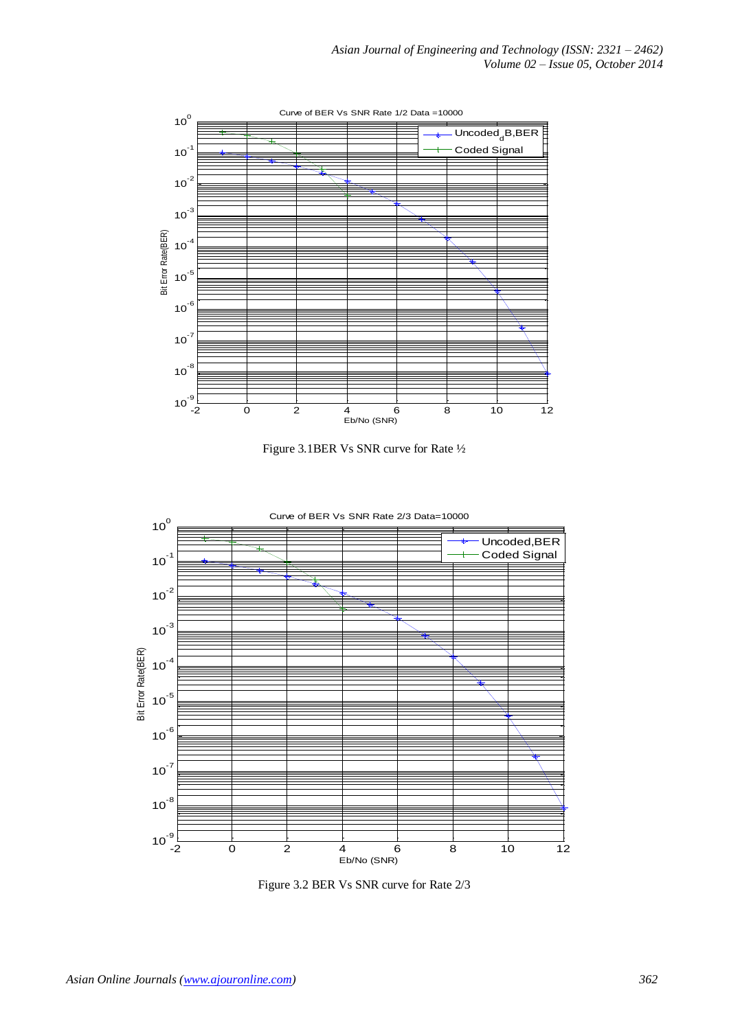

Figure 3.1BER Vs SNR curve for Rate ½



Figure 3.2 BER Vs SNR curve for Rate 2/3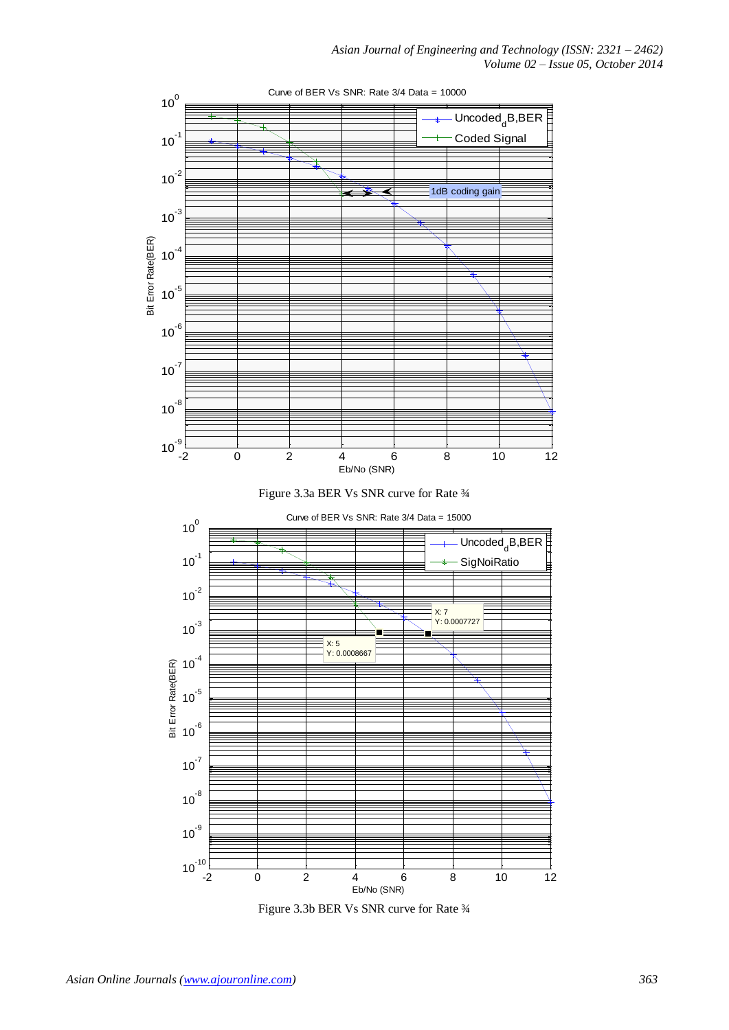

Figure 3.3b BER Vs SNR curve for Rate  $\frac{3}{4}$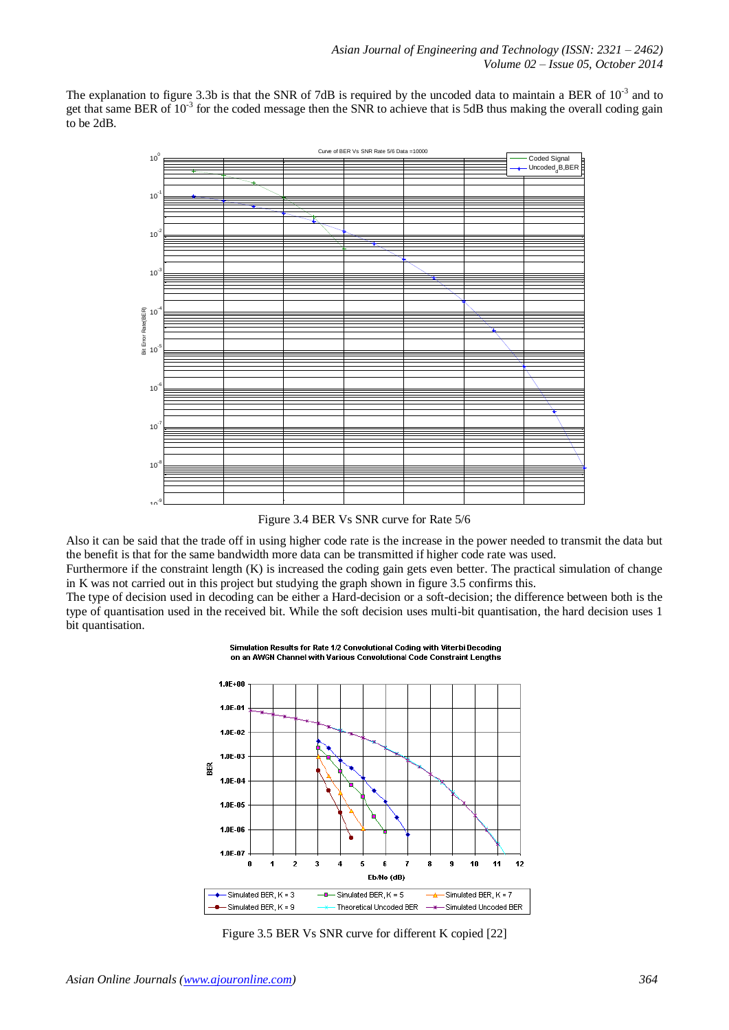The explanation to figure 3.3b is that the SNR of 7dB is required by the uncoded data to maintain a BER of  $10^{-3}$  and to get that same BER of  $10^{-3}$  for the coded message then the SNR to achieve that is 5dB thus making the overall coding gain to be 2dB.



Figure 3.4 BER Vs SNR curve for Rate 5/6

Also it can be said that the trade off in using higher code rate is the increase in the power needed to transmit the data but the benefit is that for the same bandwidth more data can be transmitted if higher code rate was used.

Furthermore if the constraint length (K) is increased the coding gain gets even better. The practical simulation of change in K was not carried out in this project but studying the graph shown in figure 3.5 confirms this.

The type of decision used in decoding can be either a Hard-decision or a soft-decision; the difference between both is the type of quantisation used in the received bit. While the soft decision uses multi-bit quantisation, the hard decision uses 1 bit quantisation.



Simulation Results for Rate 1/2 Convolutional Coding with Viterhi Becoding on an AWGN Channel with Various Convolutional Code Constraint Lengths

Figure 3.5 BER Vs SNR curve for different K copied [22]